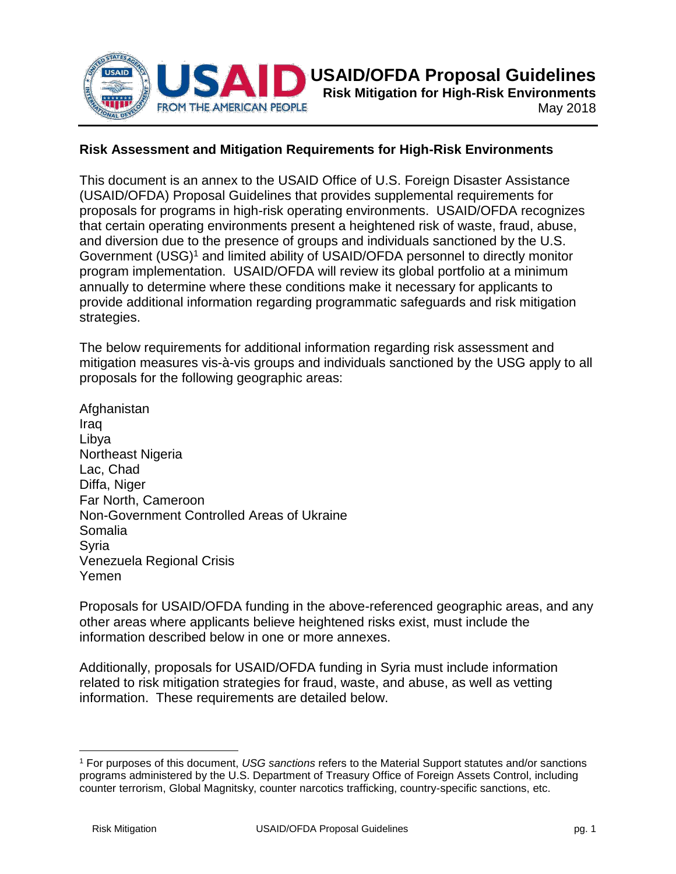

## **Risk Assessment and Mitigation Requirements for High-Risk Environments**

This document is an annex to the USAID Office of U.S. Foreign Disaster Assistance (USAID/OFDA) Proposal Guidelines that provides supplemental requirements for proposals for programs in high-risk operating environments. USAID/OFDA recognizes that certain operating environments present a heightened risk of waste, fraud, abuse, and diversion due to the presence of groups and individuals sanctioned by the U.S. Government (USG)<sup>1</sup> and limited ability of USAID/OFDA personnel to directly monitor program implementation. USAID/OFDA will review its global portfolio at a minimum annually to determine where these conditions make it necessary for applicants to provide additional information regarding programmatic safeguards and risk mitigation strategies.

The below requirements for additional information regarding risk assessment and mitigation measures vis-à-vis groups and individuals sanctioned by the USG apply to all proposals for the following geographic areas:

**Afghanistan** Iraq Libya Northeast Nigeria Lac, Chad Diffa, Niger Far North, Cameroon Non-Government Controlled Areas of Ukraine Somalia Syria Venezuela Regional Crisis Yemen

Proposals for USAID/OFDA funding in the above-referenced geographic areas, and any other areas where applicants believe heightened risks exist, must include the information described below in one or more annexes.

Additionally, proposals for USAID/OFDA funding in Syria must include information related to risk mitigation strategies for fraud, waste, and abuse, as well as vetting information. These requirements are detailed below.

 $\overline{\phantom{a}}$ 

<sup>1</sup> For purposes of this document, *USG sanctions* refers to the Material Support statutes and/or sanctions programs administered by the U.S. Department of Treasury Office of Foreign Assets Control, including counter terrorism, Global Magnitsky, counter narcotics trafficking, country-specific sanctions, etc.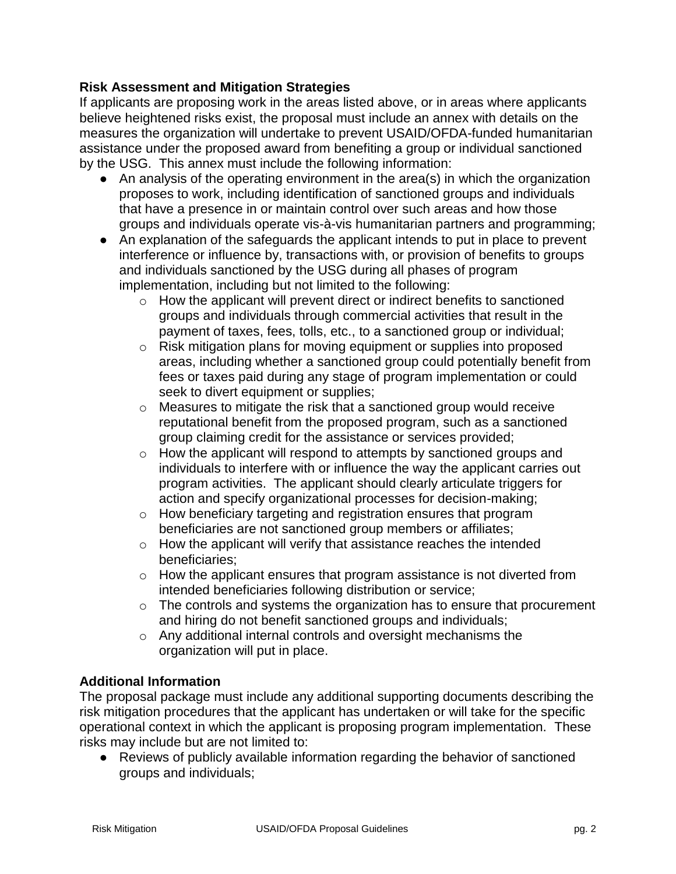## **Risk Assessment and Mitigation Strategies**

If applicants are proposing work in the areas listed above, or in areas where applicants believe heightened risks exist, the proposal must include an annex with details on the measures the organization will undertake to prevent USAID/OFDA-funded humanitarian assistance under the proposed award from benefiting a group or individual sanctioned by the USG. This annex must include the following information:

- An analysis of the operating environment in the area(s) in which the organization proposes to work, including identification of sanctioned groups and individuals that have a presence in or maintain control over such areas and how those groups and individuals operate vis-à-vis humanitarian partners and programming;
- An explanation of the safeguards the applicant intends to put in place to prevent interference or influence by, transactions with, or provision of benefits to groups and individuals sanctioned by the USG during all phases of program implementation, including but not limited to the following:
	- o How the applicant will prevent direct or indirect benefits to sanctioned groups and individuals through commercial activities that result in the payment of taxes, fees, tolls, etc., to a sanctioned group or individual;
	- o Risk mitigation plans for moving equipment or supplies into proposed areas, including whether a sanctioned group could potentially benefit from fees or taxes paid during any stage of program implementation or could seek to divert equipment or supplies;
	- o Measures to mitigate the risk that a sanctioned group would receive reputational benefit from the proposed program, such as a sanctioned group claiming credit for the assistance or services provided;
	- $\circ$  How the applicant will respond to attempts by sanctioned groups and individuals to interfere with or influence the way the applicant carries out program activities. The applicant should clearly articulate triggers for action and specify organizational processes for decision-making;
	- o How beneficiary targeting and registration ensures that program beneficiaries are not sanctioned group members or affiliates;
	- o How the applicant will verify that assistance reaches the intended beneficiaries;
	- o How the applicant ensures that program assistance is not diverted from intended beneficiaries following distribution or service;
	- $\circ$  The controls and systems the organization has to ensure that procurement and hiring do not benefit sanctioned groups and individuals;
	- o Any additional internal controls and oversight mechanisms the organization will put in place.

# **Additional Information**

The proposal package must include any additional supporting documents describing the risk mitigation procedures that the applicant has undertaken or will take for the specific operational context in which the applicant is proposing program implementation. These risks may include but are not limited to:

● Reviews of publicly available information regarding the behavior of sanctioned groups and individuals;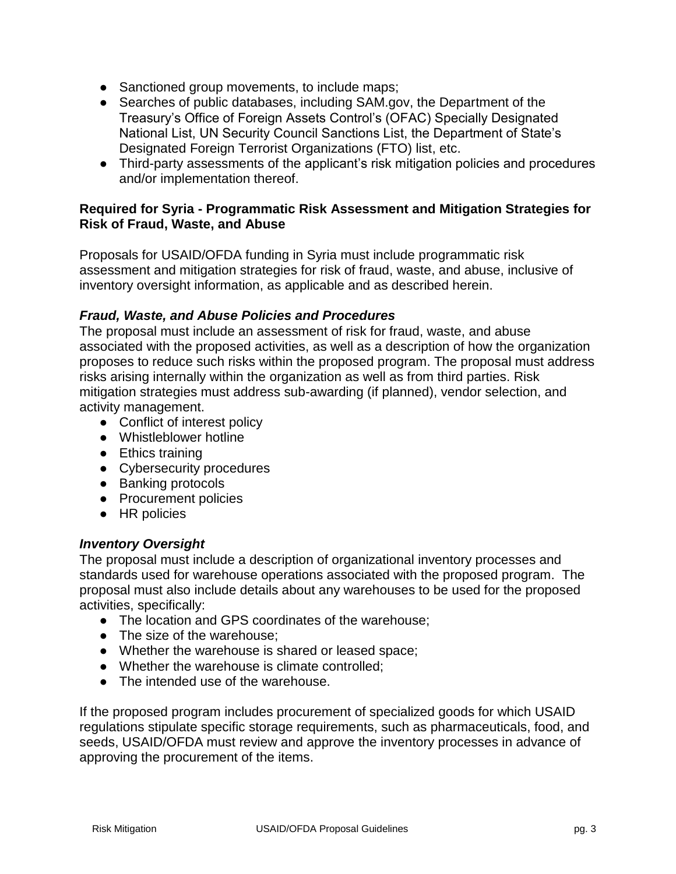- Sanctioned group movements, to include maps;
- Searches of public databases, including SAM.gov, the Department of the Treasury's Office of Foreign Assets Control's (OFAC) Specially Designated National List, UN Security Council Sanctions List, the Department of State's Designated Foreign Terrorist Organizations (FTO) list, etc.
- Third-party assessments of the applicant's risk mitigation policies and procedures and/or implementation thereof.

### **Required for Syria - Programmatic Risk Assessment and Mitigation Strategies for Risk of Fraud, Waste, and Abuse**

Proposals for USAID/OFDA funding in Syria must include programmatic risk assessment and mitigation strategies for risk of fraud, waste, and abuse, inclusive of inventory oversight information, as applicable and as described herein.

## *Fraud, Waste, and Abuse Policies and Procedures*

The proposal must include an assessment of risk for fraud, waste, and abuse associated with the proposed activities, as well as a description of how the organization proposes to reduce such risks within the proposed program. The proposal must address risks arising internally within the organization as well as from third parties. Risk mitigation strategies must address sub-awarding (if planned), vendor selection, and activity management.

- Conflict of interest policy
- Whistleblower hotline
- Ethics training
- Cybersecurity procedures
- Banking protocols
- Procurement policies
- HR policies

### *Inventory Oversight*

The proposal must include a description of organizational inventory processes and standards used for warehouse operations associated with the proposed program. The proposal must also include details about any warehouses to be used for the proposed activities, specifically:

- The location and GPS coordinates of the warehouse;
- The size of the warehouse;
- Whether the warehouse is shared or leased space;
- Whether the warehouse is climate controlled;
- The intended use of the warehouse.

If the proposed program includes procurement of specialized goods for which USAID regulations stipulate specific storage requirements, such as pharmaceuticals, food, and seeds, USAID/OFDA must review and approve the inventory processes in advance of approving the procurement of the items.